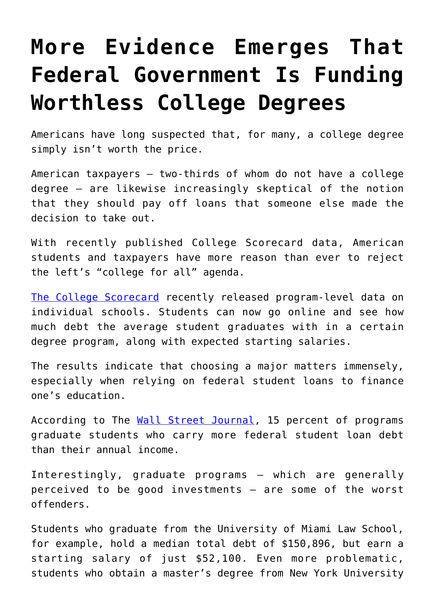## **[More Evidence Emerges That](https://intellectualtakeout.org/2019/12/more-evidence-emerges-that-federal-government-is-funding-worthless-college-degrees/) [Federal Government Is Funding](https://intellectualtakeout.org/2019/12/more-evidence-emerges-that-federal-government-is-funding-worthless-college-degrees/) [Worthless College Degrees](https://intellectualtakeout.org/2019/12/more-evidence-emerges-that-federal-government-is-funding-worthless-college-degrees/)**

Americans have long suspected that, for many, a college degree simply isn't worth the price.

American taxpayers – two-thirds of whom do not have a college degree – are likewise increasingly skeptical of the notion that they should pay off loans that someone else made the decision to take out.

With recently published College Scorecard data, American students and taxpayers have more reason than ever to reject the left's "college for all" agenda.

[The College Scorecard](https://collegescorecard.ed.gov/) recently released program-level data on individual schools. Students can now go online and see how much debt the average student graduates with in a certain degree program, along with expected starting salaries.

The results indicate that choosing a major matters immensely, especially when relying on federal student loans to finance one's education.

According to The [Wall Street Journal,](https://www.wsj.com/articles/which-college-graduates-make-the-most-11574267424) 15 percent of programs graduate students who carry more federal student loan debt than their annual income.

Interestingly, graduate programs – which are generally perceived to be good investments – are some of the worst offenders.

Students who graduate from the University of Miami Law School, for example, hold a median total debt of \$150,896, but earn a starting salary of just \$52,100. Even more problematic, students who obtain a master's degree from New York University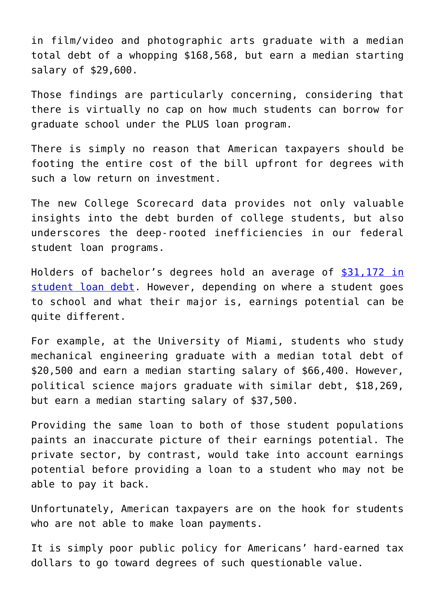in film/video and photographic arts graduate with a median total debt of a whopping \$168,568, but earn a median starting salary of \$29,600.

Those findings are particularly concerning, considering that there is virtually no cap on how much students can borrow for graduate school under the PLUS loan program.

There is simply no reason that American taxpayers should be footing the entire cost of the bill upfront for degrees with such a low return on investment.

The new College Scorecard data provides not only valuable insights into the debt burden of college students, but also underscores the deep-rooted inefficiencies in our federal student loan programs.

Holders of bachelor's degrees hold an average of [\\$31,172 in](https://www.credit.com/personal-finance/average-student-loan-debt/) [student loan debt.](https://www.credit.com/personal-finance/average-student-loan-debt/) However, depending on where a student goes to school and what their major is, earnings potential can be quite different.

For example, at the University of Miami, students who study mechanical engineering graduate with a median total debt of \$20,500 and earn a median starting salary of \$66,400. However, political science majors graduate with similar debt, \$18,269, but earn a median starting salary of \$37,500.

Providing the same loan to both of those student populations paints an inaccurate picture of their earnings potential. The private sector, by contrast, would take into account earnings potential before providing a loan to a student who may not be able to pay it back.

Unfortunately, American taxpayers are on the hook for students who are not able to make loan payments.

It is simply poor public policy for Americans' hard-earned tax dollars to go toward degrees of such questionable value.